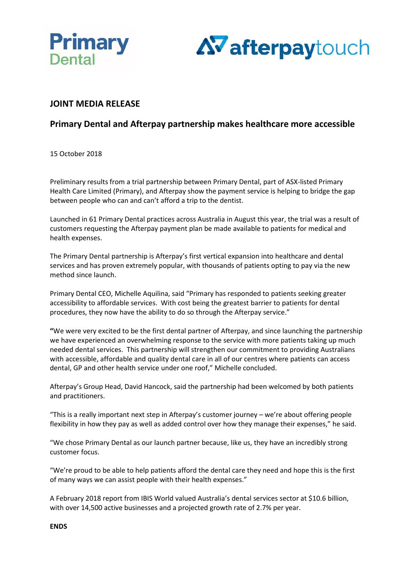



# **JOINT MEDIA RELEASE**

# **Primary Dental and Afterpay partnership makes healthcare more accessible**

15 October 2018

Preliminary results from a trial partnership between Primary Dental, part of ASX-listed Primary Health Care Limited (Primary), and Afterpay show the payment service is helping to bridge the gap between people who can and can't afford a trip to the dentist.

Launched in 61 Primary Dental practices across Australia in August this year, the trial was a result of customers requesting the Afterpay payment plan be made available to patients for medical and health expenses.

The Primary Dental partnership is Afterpay's first vertical expansion into healthcare and dental services and has proven extremely popular, with thousands of patients opting to pay via the new method since launch.

Primary Dental CEO, Michelle Aquilina, said "Primary has responded to patients seeking greater accessibility to affordable services. With cost being the greatest barrier to patients for dental procedures, they now have the ability to do so through the Afterpay service."

**"**We were very excited to be the first dental partner of Afterpay, and since launching the partnership we have experienced an overwhelming response to the service with more patients taking up much needed dental services. This partnership will strengthen our commitment to providing Australians with accessible, affordable and quality dental care in all of our centres where patients can access dental, GP and other health service under one roof," Michelle concluded.

Afterpay's Group Head, David Hancock, said the partnership had been welcomed by both patients and practitioners.

"This is a really important next step in Afterpay's customer journey – we're about offering people flexibility in how they pay as well as added control over how they manage their expenses," he said.

"We chose Primary Dental as our launch partner because, like us, they have an incredibly strong customer focus.

"We're proud to be able to help patients afford the dental care they need and hope this is the first of many ways we can assist people with their health expenses."

A February 2018 report from IBIS World valued Australia's dental services sector at \$10.6 billion, with over 14,500 active businesses and a projected growth rate of 2.7% per year.

**ENDS**